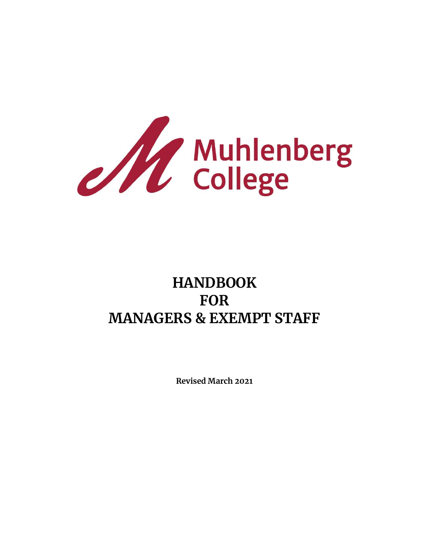

# **HANDBOOK FOR MANAGERS & EXEMPT STAFF**

**Revised March 2021**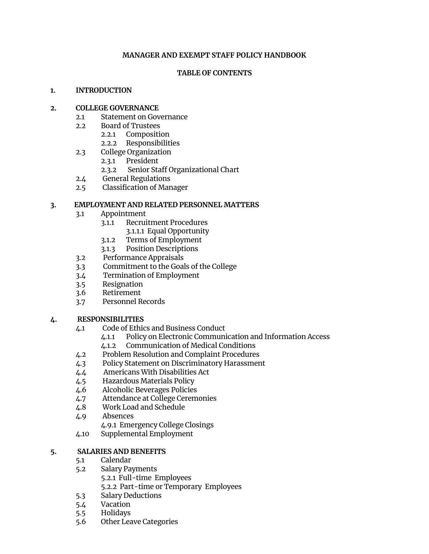#### **MANAGER AND EXEMPT STAFF POLICY HANDBOOK**

#### **TABLE OF CONTENTS**

#### **1. INTRODUCTION**

#### **2. COLLEGE GOVERNANCE**

- 2.1 Statement on Governance
- 2.2 Board of Trustees
	- 2.2.1 Composition
	- 2.2.2 Responsibilities
- 2.3 College Organization
	- 2.3.1 President
	- 2.3.2 Senior Staff Organizational Chart
- 2.4 General Regulations
- 2.5 Classification of Manager

#### **3. EMPLOYMENT AND RELATED PERSONNEL MATTERS**

- 3.1 Appointment
	- 3.1.1 Recruitment Procedures
		- 3.1.1.1 Equal Opportunity
	- 3.1.2 Terms of Employment
	- 3.1.3 Position Descriptions
- 3.2 Performance Appraisals
- 3.3 Commitment to the Goals of the College
- 3.4 Termination of Employment
- 3.5 Resignation
- 3.6 Retirement
- 3.7 Personnel Records

#### **4. RESPONSIBILITIES**

- 4.1 Code of Ethics and Business Conduct
	- 4.1.1 Policy on Electronic Communication and Information Access
	- 4.1.2 Communication of Medical Conditions
- 4.2 Problem Resolution and Complaint Procedures
- 4.3 Policy Statement on Discriminatory Harassment
- 4.4 Americans With Disabilities Act
- 4.5 Hazardous Materials Policy
- 4.6 Alcoholic Beverages Policies
- 4.7 Attendance at College Ceremonies
- 4.8 Work Load and Schedule
- 4.9 Absences
	- 4.9.1 Emergency College Closings
- 4.10 Supplemental Employment

#### **5. SALARIES AND BENEFITS**

- 5.1 Calendar
- 5.2 Salary Payments 5.2.1 Full-time Employees 5.2.2 Part-time or Temporary Employees
- 5.3 Salary Deductions
- 5.4 Vacation
- 5.5 Holidays
- 5.6 Other Leave Categories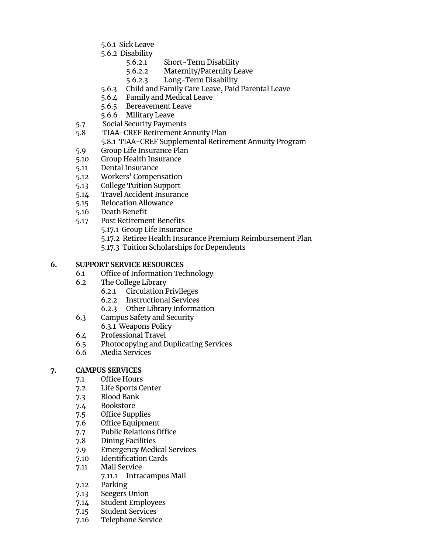- 5.6.1 Sick Leave
- 5.6.2 Disability
	- 5.6.2.1 Short-Term Disability
	- 5.6.2.2 Maternity/Paternity Leave
	- 5.6.2.3 Long-Term Disability
- 5.6.3 Child and Family Care Leave, Paid Parental Leave
- 5.6.4 Family and Medical Leave
- 5.6.5 Bereavement Leave
- 5.6.6 Military Leave
- 5.7 Social Security Payments
- 5.8 TIAA-CREF Retirement Annuity Plan 5.8.1 TIAA-CREF Supplemental Retirement Annuity Program
- 5.9 Group Life Insurance Plan
- 5.10 Group Health Insurance
- 5.11 Dental Insurance
- 5.12 Workers' Compensation
- 5.13 College Tuition Support
- 5.14 Travel Accident Insurance
- 5.15 Relocation Allowance
- 5.16 Death Benefit
- 5.17 Post Retirement Benefits
	- 5.17.1 Group Life Insurance
	- 5.17.2 Retiree Health Insurance Premium Reimbursement Plan
	- 5.17.3 Tuition Scholarships for Dependents

## **6. SUPPORT SERVICE RESOURCES**

- 6.1 Office of Information Technology
- 6.2 The College Library
	- 6.2.1 Circulation Privileges
	- 6.2.2 Instructional Services
	- 6.2.3 Other Library Information
- 6.3 Campus Safety and Security 6.3.1 Weapons Policy
- 6.4 Professional Travel
- 6.5 Photocopying and Duplicating Services
- 6.6 Media Services

# **7. CAMPUS SERVICES**

- 7.1 Office Hours
- 7.2 Life Sports Center
- 7.3 Blood Bank
- 7.4 Bookstore
- 7.5 Office Supplies
- 7.6 Office Equipment
- 7.7 Public Relations Office
- 7.8 Dining Facilities
- 7.9 Emergency Medical Services
- 7.10 Identification Cards
- 7.11 Mail Service
	- 7.11.1 Intracampus Mail
- 7.12 Parking
- 7.13 Seegers Union
- 7.14 Student Employees
- 7.15 Student Services
- 7.16 Telephone Service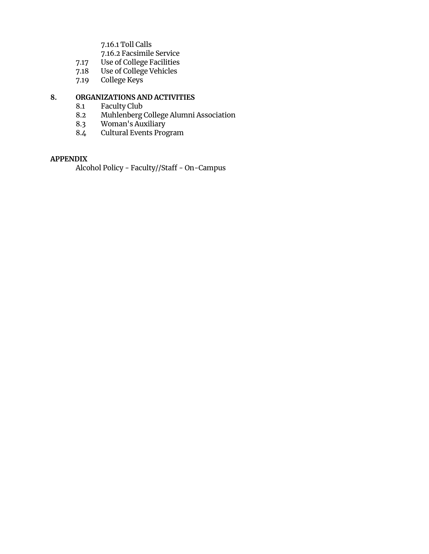7.16.1 Toll Calls

- 
- 7.16.2 Facsimile Service<br>7.17 Use of College Facilities 7.17 Use of College Facilities
- 7.18 Use of College Vehicles
	- 7.19 College Keys

#### **8. ORGANIZATIONS AND ACTIVITIES**

- 8.1 Faculty Club
- 8.2 Muhlenberg College Alumni Association
- 8.3 Woman's Auxiliary
- 8.4 Cultural Events Program

#### **APPENDIX**

Alcohol Policy - Faculty//Staff - On-Campus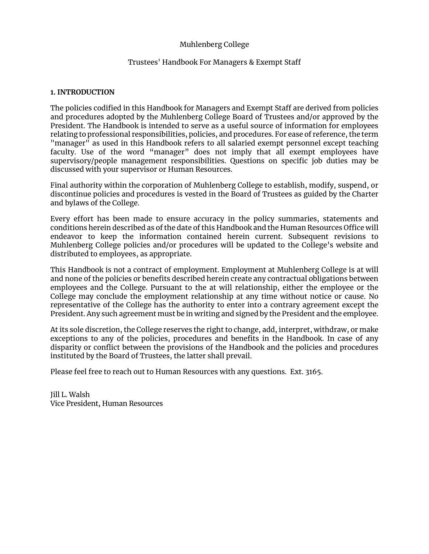# Muhlenberg College

#### Trustees' Handbook For Managers & Exempt Staff

#### **1. INTRODUCTION**

The policies codified in this Handbook for Managers and Exempt Staff are derived from policies and procedures adopted by the Muhlenberg College Board of Trustees and/or approved by the President. The Handbook is intended to serve as a useful source of information for employees relating to professional responsibilities, policies, and procedures. For ease of reference, the term "manager<sup>"</sup> as used in this Handbook refers to all salaried exempt personnel except teaching faculty. Use of the word "manager" does not imply that all exempt employees have supervisory/people management responsibilities. Questions on specific job duties may be discussed with your supervisor or Human Resources.

Final authority within the corporation of Muhlenberg College to establish, modify, suspend, or discontinue policies and procedures is vested in the Board of Trustees as guided by the Charter and bylaws of the College.

Every effort has been made to ensure accuracy in the policy summaries, statements and conditions herein described as of the date of this Handbook and the Human Resources Office will endeavor to keep the information contained herein current. Subsequent revisions to Muhlenberg College policies and/or procedures will be updated to the College's website and distributed to employees, as appropriate.

This Handbook is not a contract of employment. Employment at Muhlenberg College is at will and none of the policies or benefits described herein create any contractual obligations between employees and the College. Pursuant to the at will relationship, either the employee or the College may conclude the employment relationship at any time without notice or cause. No representative of the College has the authority to enter into a contrary agreement except the President. Any such agreement must be in writing and signed by the President and the employee.

At its sole discretion, the College reserves the right to change, add, interpret, withdraw, or make exceptions to any of the policies, procedures and benefits in the Handbook. In case of any disparity or conflict between the provisions of the Handbook and the policies and procedures instituted by the Board of Trustees, the latter shall prevail.

Please feel free to reach out to Human Resources with any questions. Ext. 3165.

Jill L. Walsh Vice President, Human Resources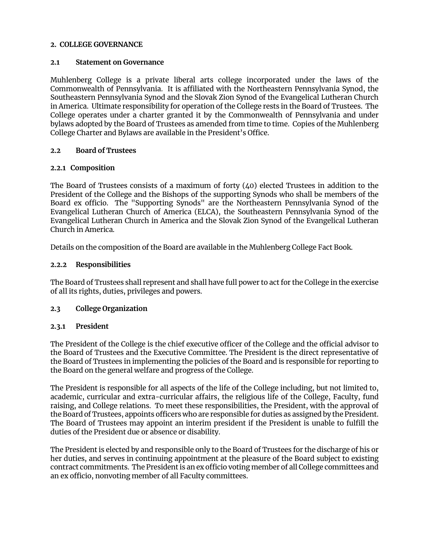#### **2. COLLEGE GOVERNANCE**

#### **2.1 Statement on Governance**

Muhlenberg College is a private liberal arts college incorporated under the laws of the Commonwealth of Pennsylvania. It is affiliated with the Northeastern Pennsylvania Synod, the Southeastern Pennsylvania Synod and the Slovak Zion Synod of the Evangelical Lutheran Church in America. Ultimate responsibility for operation of the College rests in the Board of Trustees. The College operates under a charter granted it by the Commonwealth of Pennsylvania and under bylaws adopted by the Board of Trustees as amended from time to time. Copies of the Muhlenberg College Charter and Bylaws are available in the President's Office.

#### **2.2 Board of Trustees**

#### **2.2.1 Composition**

The Board of Trustees consists of a maximum of forty (40) elected Trustees in addition to the President of the College and the Bishops of the supporting Synods who shall be members of the Board ex officio. The "Supporting Synods" are the Northeastern Pennsylvania Synod of the Evangelical Lutheran Church of America (ELCA), the Southeastern Pennsylvania Synod of the Evangelical Lutheran Church in America and the Slovak Zion Synod of the Evangelical Lutheran Church in America.

Details on the composition of the Board are available in the Muhlenberg College Fact Book.

#### **2.2.2 Responsibilities**

The Board of Trustees shall represent and shall have full power to act for the College in the exercise of all its rights, duties, privileges and powers.

#### **2.3 College Organization**

#### **2.3.1 President**

The President of the College is the chief executive officer of the College and the official advisor to the Board of Trustees and the Executive Committee. The President is the direct representative of the Board of Trustees in implementing the policies of the Board and is responsible for reporting to the Board on the general welfare and progress of the College.

The President is responsible for all aspects of the life of the College including, but not limited to, academic, curricular and extra-curricular affairs, the religious life of the College, Faculty, fund raising, and College relations. To meet these responsibilities, the President, with the approval of the Board of Trustees, appoints officers who are responsible for duties as assigned by the President. The Board of Trustees may appoint an interim president if the President is unable to fulfill the duties of the President due or absence or disability.

The President is elected by and responsible only to the Board of Trustees for the discharge of his or her duties, and serves in continuing appointment at the pleasure of the Board subject to existing contract commitments. The President is an ex officio voting member of all College committees and an ex officio, nonvoting member of all Faculty committees.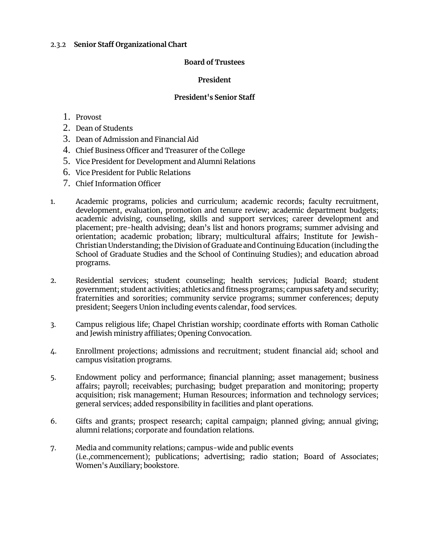#### 2.3.2 **Senior Staff Organizational Chart**

#### **Board of Trustees**

#### **President**

#### **President's Senior Staff**

- 1. Provost
- 2. Dean of Students
- 3. Dean of Admission and Financial Aid
- 4. Chief Business Officer and Treasurer of the College
- 5. Vice President for Development and Alumni Relations
- 6. Vice President for Public Relations
- 7. Chief Information Officer
- 1. Academic programs, policies and curriculum; academic records; faculty recruitment, development, evaluation, promotion and tenure review; academic department budgets; academic advising, counseling, skills and support services; career development and placement; pre-health advising; dean's list and honors programs; summer advising and orientation; academic probation; library; multicultural affairs; Institute for Jewish-Christian Understanding; the Division of Graduate and Continuing Education (including the School of Graduate Studies and the School of Continuing Studies); and education abroad programs.
- 2. Residential services; student counseling; health services; Judicial Board; student government; student activities; athletics and fitness programs; campus safety and security; fraternities and sororities; community service programs; summer conferences; deputy president; Seegers Union including events calendar, food services.
- 3. Campus religious life; Chapel Christian worship; coordinate efforts with Roman Catholic and Jewish ministry affiliates; Opening Convocation.
- 4. Enrollment projections; admissions and recruitment; student financial aid; school and campus visitation programs.
- 5. Endowment policy and performance; financial planning; asset management; business affairs; payroll; receivables; purchasing; budget preparation and monitoring; property acquisition; risk management; Human Resources; information and technology services; general services; added responsibility in facilities and plant operations.
- 6. Gifts and grants; prospect research; capital campaign; planned giving; annual giving; alumni relations; corporate and foundation relations.
- 7. Media and community relations; campus-wide and public events (i.e.,commencement); publications; advertising; radio station; Board of Associates; Women's Auxiliary; bookstore.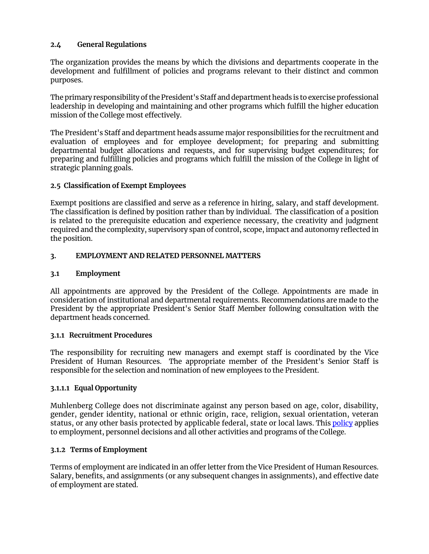# **2.4 General Regulations**

The organization provides the means by which the divisions and departments cooperate in the development and fulfillment of policies and programs relevant to their distinct and common purposes.

The primary responsibility of the President's Staff and department heads is to exercise professional leadership in developing and maintaining and other programs which fulfill the higher education mission of the College most effectively.

The President's Staff and department heads assume major responsibilities for the recruitment and evaluation of employees and for employee development; for preparing and submitting departmental budget allocations and requests, and for supervising budget expenditures; for preparing and fulfilling policies and programs which fulfill the mission of the College in light of strategic planning goals.

## **2.5 Classification of Exempt Employees**

Exempt positions are classified and serve as a reference in hiring, salary, and staff development. The classification is defined by position rather than by individual. The classification of a position is related to the prerequisite education and experience necessary, the creativity and judgment required and the complexity, supervisory span of control, scope, impact and autonomy reflected in the position.

## **3. EMPLOYMENT AND RELATED PERSONNEL MATTERS**

## **3.1 Employment**

All appointments are approved by the President of the College. Appointments are made in consideration of institutional and departmental requirements. Recommendations are made to the President by the appropriate President's Senior Staff Member following consultation with the department heads concerned.

## **3.1.1 Recruitment Procedures**

The responsibility for recruiting new managers and exempt staff is coordinated by the Vice President of Human Resources. The appropriate member of the President's Senior Staff is responsible for the selection and nomination of new employees to the President.

## **3.1.1.1 Equal Opportunity**

Muhlenberg College does not discriminate against any person based on age, color, disability, gender, gender identity, national or ethnic origin, race, religion, sexual orientation, veteran status, or any other basis protected by applicable federal, state or local laws. Thi[s policy](https://www.muhlenberg.edu/media/contentassets/pdf/about/deanst/studentguide/EqualOpportunityNondiscriminationPolicy.pdf) applies to employment, personnel decisions and all other activities and programs of the College.

## **3.1.2 Terms of Employment**

Terms of employment are indicated in an offer letter from the Vice President of Human Resources. Salary, benefits, and assignments (or any subsequent changes in assignments), and effective date of employment are stated.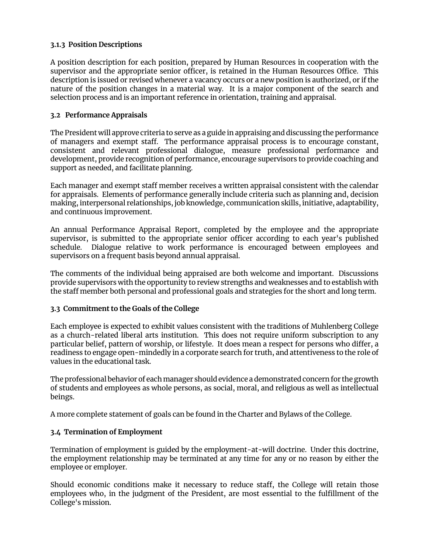# **3.1.3 Position Descriptions**

A position description for each position, prepared by Human Resources in cooperation with the supervisor and the appropriate senior officer, is retained in the Human Resources Office. This description is issued or revised whenever a vacancy occurs or a new position is authorized, or if the nature of the position changes in a material way. It is a major component of the search and selection process and is an important reference in orientation, training and appraisal.

# **3.2 Performance Appraisals**

The President will approve criteria to serve as a guide in appraising and discussing the performance of managers and exempt staff. The performance appraisal process is to encourage constant, consistent and relevant professional dialogue, measure professional performance and development, provide recognition of performance, encourage supervisors to provide coaching and support as needed, and facilitate planning.

Each manager and exempt staff member receives a written appraisal consistent with the calendar for appraisals. Elements of performance generally include criteria such as planning and, decision making, interpersonal relationships, job knowledge, communication skills, initiative, adaptability, and continuous improvement.

An annual Performance Appraisal Report, completed by the employee and the appropriate supervisor, is submitted to the appropriate senior officer according to each year's published schedule. Dialogue relative to work performance is encouraged between employees and supervisors on a frequent basis beyond annual appraisal.

The comments of the individual being appraised are both welcome and important. Discussions provide supervisors with the opportunity to review strengths and weaknesses and to establish with the staff member both personal and professional goals and strategies for the short and long term.

## **3.3 Commitment to the Goals of the College**

Each employee is expected to exhibit values consistent with the traditions of Muhlenberg College as a church-related liberal arts institution. This does not require uniform subscription to any particular belief, pattern of worship, or lifestyle. It does mean a respect for persons who differ, a readiness to engage open-mindedly in a corporate search for truth, and attentiveness to the role of values in the educational task.

The professional behavior of each manager should evidence a demonstrated concern for the growth of students and employees as whole persons, as social, moral, and religious as well as intellectual beings.

A more complete statement of goals can be found in the Charter and Bylaws of the College.

## **3.4 Termination of Employment**

Termination of employment is guided by the employment-at-will doctrine. Under this doctrine, the employment relationship may be terminated at any time for any or no reason by either the employee or employer.

Should economic conditions make it necessary to reduce staff, the College will retain those employees who, in the judgment of the President, are most essential to the fulfillment of the College's mission.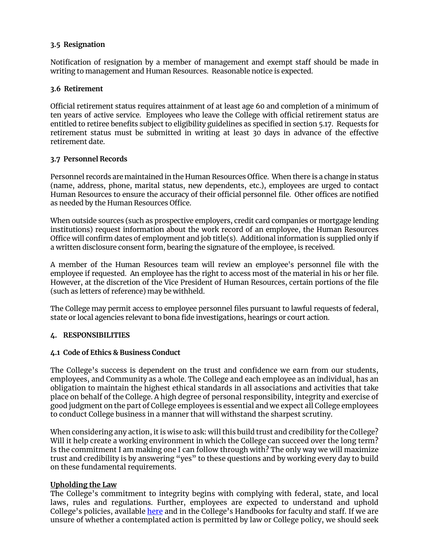## **3.5 Resignation**

Notification of resignation by a member of management and exempt staff should be made in writing to management and Human Resources. Reasonable notice is expected.

## **3.6 Retirement**

Official retirement status requires attainment of at least age 60 and completion of a minimum of ten years of active service. Employees who leave the College with official retirement status are entitled to retiree benefits subject to eligibility guidelines as specified in section 5.17. Requests for retirement status must be submitted in writing at least 30 days in advance of the effective retirement date.

#### **3.7 Personnel Records**

Personnel records are maintained in the Human Resources Office. When there is a change in status (name, address, phone, marital status, new dependents, etc.), employees are urged to contact Human Resources to ensure the accuracy of their official personnel file. Other offices are notified as needed by the Human Resources Office.

When outside sources (such as prospective employers, credit card companies or mortgage lending institutions) request information about the work record of an employee, the Human Resources Office will confirm dates of employment and job title(s). Additional information is supplied only if a written disclosure consent form, bearing the signature of the employee, is received.

A member of the Human Resources team will review an employee's personnel file with the employee if requested. An employee has the right to access most of the material in his or her file. However, at the discretion of the Vice President of Human Resources, certain portions of the file (such as letters of reference) may be withheld.

The College may permit access to employee personnel files pursuant to lawful requests of federal, state or local agencies relevant to bona fide investigations, hearings or court action.

## **4. RESPONSIBILITIES**

## **4.1 Code of Ethics & Business Conduct**

The College's success is dependent on the trust and confidence we earn from our students, employees, and Community as a whole. The College and each employee as an individual, has an obligation to maintain the highest ethical standards in all associations and activities that take place on behalf of the College. A high degree of personal responsibility, integrity and exercise of good judgment on the part of College employees is essential and we expect all College employees to conduct College business in a manner that will withstand the sharpest scrutiny.

When considering any action, it is wise to ask: will this build trust and credibility for the College? Will it help create a working environment in which the College can succeed over the long term? Is the commitment I am making one I can follow through with? The only way we will maximize trust and credibility is by answering "yes" to these questions and by working every day to build on these fundamental requirements.

## **Upholding the Law**

The College's commitment to integrity begins with complying with federal, state, and local laws, rules and regulations. Further, employees are expected to understand and uphold College's policies, available [here](https://www.muhlenberg.edu/offices/hr/currentemployeesretirees/resourcespolicies/policies/) and in the College's Handbooks for faculty and staff. If we are unsure of whether a contemplated action is permitted by law or College policy, we should seek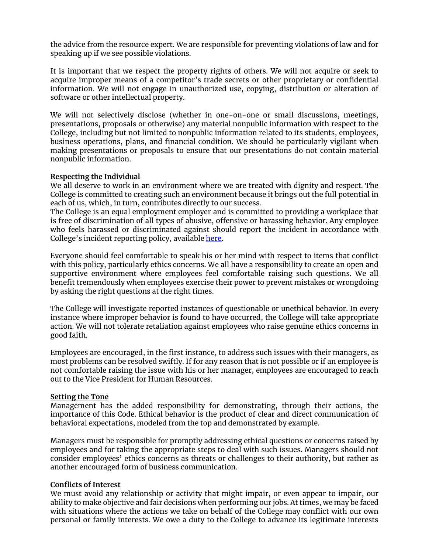the advice from the resource expert. We are responsible for preventing violations of law and for speaking up if we see possible violations.

It is important that we respect the property rights of others. We will not acquire or seek to acquire improper means of a competitor's trade secrets or other proprietary or confidential information. We will not engage in unauthorized use, copying, distribution or alteration of software or other intellectual property.

We will not selectively disclose (whether in one-on-one or small discussions, meetings, presentations, proposals or otherwise) any material nonpublic information with respect to the College, including but not limited to nonpublic information related to its students, employees, business operations, plans, and financial condition. We should be particularly vigilant when making presentations or proposals to ensure that our presentations do not contain material nonpublic information.

#### **Respecting the Individual**

We all deserve to work in an environment where we are treated with dignity and respect. The College is committed to creating such an environment because it brings out the full potential in each of us, which, in turn, contributes directly to our success.

The College is an equal employment employer and is committed to providing a workplace that is free of discrimination of all types of abusive, offensive or harassing behavior. Any employee who feels harassed or discriminated against should report the incident in accordance with College's incident reporting policy, available [here.](https://www.muhlenberg.edu/webapps/incidentreporting/)

Everyone should feel comfortable to speak his or her mind with respect to items that conflict with this policy, particularly ethics concerns. We all have a responsibility to create an open and supportive environment where employees feel comfortable raising such questions. We all benefit tremendously when employees exercise their power to prevent mistakes or wrongdoing by asking the right questions at the right times.

The College will investigate reported instances of questionable or unethical behavior. In every instance where improper behavior is found to have occurred, the College will take appropriate action. We will not tolerate retaliation against employees who raise genuine ethics concerns in good faith.

Employees are encouraged, in the first instance, to address such issues with their managers, as most problems can be resolved swiftly. If for any reason that is not possible or if an employee is not comfortable raising the issue with his or her manager, employees are encouraged to reach out to the Vice President for Human Resources.

#### **Setting the Tone**

Management has the added responsibility for demonstrating, through their actions, the importance of this Code. Ethical behavior is the product of clear and direct communication of behavioral expectations, modeled from the top and demonstrated by example.

Managers must be responsible for promptly addressing ethical questions or concerns raised by employees and for taking the appropriate steps to deal with such issues. Managers should not consider employees' ethics concerns as threats or challenges to their authority, but rather as another encouraged form of business communication.

#### **Conflicts of Interest**

We must avoid any relationship or activity that might impair, or even appear to impair, our ability to make objective and fair decisions when performing our jobs. At times, we may be faced with situations where the actions we take on behalf of the College may conflict with our own personal or family interests. We owe a duty to the College to advance its legitimate interests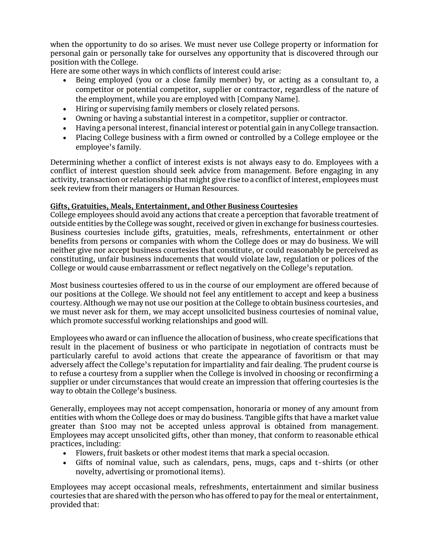when the opportunity to do so arises. We must never use College property or information for personal gain or personally take for ourselves any opportunity that is discovered through our position with the College.

Here are some other ways in which conflicts of interest could arise:

- Being employed (you or a close family member) by, or acting as a consultant to, a competitor or potential competitor, supplier or contractor, regardless of the nature of the employment, while you are employed with [Company Name].
- Hiring or supervising family members or closely related persons.
- Owning or having a substantial interest in a competitor, supplier or contractor.
- Having a personal interest, financial interest or potential gain in any College transaction.
- Placing College business with a firm owned or controlled by a College employee or the employee's family.

Determining whether a conflict of interest exists is not always easy to do. Employees with a conflict of interest question should seek advice from management. Before engaging in any activity, transaction or relationship that might give rise to a conflict of interest, employees must seek review from their managers or Human Resources.

# **Gifts, Gratuities, Meals, Entertainment, and Other Business Courtesies**

College employees should avoid any actions that create a perception that favorable treatment of outside entities by the College was sought, received or given in exchange for business courtesies. Business courtesies include gifts, gratuities, meals, refreshments, entertainment or other benefits from persons or companies with whom the College does or may do business. We will neither give nor accept business courtesies that constitute, or could reasonably be perceived as constituting, unfair business inducements that would violate law, regulation or polices of the College or would cause embarrassment or reflect negatively on the College's reputation.

Most business courtesies offered to us in the course of our employment are offered because of our positions at the College. We should not feel any entitlement to accept and keep a business courtesy. Although we may not use our position at the College to obtain business courtesies, and we must never ask for them, we may accept unsolicited business courtesies of nominal value, which promote successful working relationships and good will.

Employees who award or can influence the allocation of business, who create specifications that result in the placement of business or who participate in negotiation of contracts must be particularly careful to avoid actions that create the appearance of favoritism or that may adversely affect the College's reputation for impartiality and fair dealing. The prudent course is to refuse a courtesy from a supplier when the College is involved in choosing or reconfirming a supplier or under circumstances that would create an impression that offering courtesies is the way to obtain the College's business.

Generally, employees may not accept compensation, honoraria or money of any amount from entities with whom the College does or may do business. Tangible gifts that have a market value greater than \$100 may not be accepted unless approval is obtained from management. Employees may accept unsolicited gifts, other than money, that conform to reasonable ethical practices, including:

- Flowers, fruit baskets or other modest items that mark a special occasion.
- Gifts of nominal value, such as calendars, pens, mugs, caps and t-shirts (or other novelty, advertising or promotional items).

Employees may accept occasional meals, refreshments, entertainment and similar business courtesies that are shared with the person who has offered to pay for the meal or entertainment, provided that: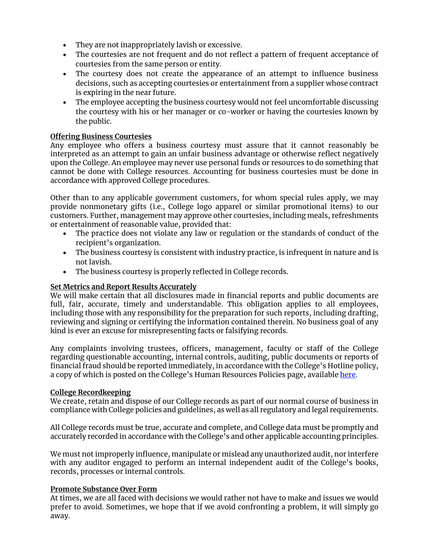- They are not inappropriately lavish or excessive.
- The courtesies are not frequent and do not reflect a pattern of frequent acceptance of courtesies from the same person or entity.
- The courtesy does not create the appearance of an attempt to influence business decisions, such as accepting courtesies or entertainment from a supplier whose contract is expiring in the near future.
- The employee accepting the business courtesy would not feel uncomfortable discussing the courtesy with his or her manager or co-worker or having the courtesies known by the public.

# **Offering Business Courtesies**

Any employee who offers a business courtesy must assure that it cannot reasonably be interpreted as an attempt to gain an unfair business advantage or otherwise reflect negatively upon the College. An employee may never use personal funds or resources to do something that cannot be done with College resources. Accounting for business courtesies must be done in accordance with approved College procedures.

Other than to any applicable government customers, for whom special rules apply, we may provide nonmonetary gifts (i.e., College logo apparel or similar promotional items) to our customers. Further, management may approve other courtesies, including meals, refreshments or entertainment of reasonable value, provided that:

- The practice does not violate any law or regulation or the standards of conduct of the recipient's organization.
- The business courtesy is consistent with industry practice, is infrequent in nature and is not lavish.
- The business courtesy is properly reflected in College records.

# **Set Metrics and Report Results Accurately**

We will make certain that all disclosures made in financial reports and public documents are full, fair, accurate, timely and understandable. This obligation applies to all employees, including those with any responsibility for the preparation for such reports, including drafting, reviewing and signing or certifying the information contained therein. No business goal of any kind is ever an excuse for misrepresenting facts or falsifying records.

Any complaints involving trustees, officers, management, faculty or staff of the College regarding questionable accounting, internal controls, auditing, public documents or reports of financial fraud should be reported immediately, in accordance with the College's Hotline policy, a copy of which is posted on the College's Human Resources Policies page, availabl[e here.](https://www.muhlenberg.edu/offices/hr/currentemployeesretirees/resourcespolicies/policies/)

## **College Recordkeeping**

We create, retain and dispose of our College records as part of our normal course of business in compliance with College policies and guidelines, as well as all regulatory and legal requirements.

All College records must be true, accurate and complete, and College data must be promptly and accurately recorded in accordance with the College's and other applicable accounting principles.

We must not improperly influence, manipulate or mislead any unauthorized audit, nor interfere with any auditor engaged to perform an internal independent audit of the College's books, records, processes or internal controls.

## **Promote Substance Over Form**

At times, we are all faced with decisions we would rather not have to make and issues we would prefer to avoid. Sometimes, we hope that if we avoid confronting a problem, it will simply go away.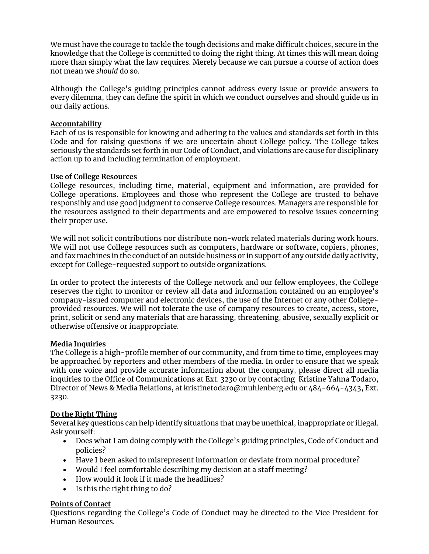We must have the courage to tackle the tough decisions and make difficult choices, secure in the knowledge that the College is committed to doing the right thing. At times this will mean doing more than simply what the law requires. Merely because we can pursue a course of action does not mean we *should* do so.

Although the College's guiding principles cannot address every issue or provide answers to every dilemma, they can define the spirit in which we conduct ourselves and should guide us in our daily actions.

## **Accountability**

Each of us is responsible for knowing and adhering to the values and standards set forth in this Code and for raising questions if we are uncertain about College policy. The College takes seriously the standards set forth in our Code of Conduct, and violations are cause for disciplinary action up to and including termination of employment.

## **Use of College Resources**

College resources, including time, material, equipment and information, are provided for College operations. Employees and those who represent the College are trusted to behave responsibly and use good judgment to conserve College resources. Managers are responsible for the resources assigned to their departments and are empowered to resolve issues concerning their proper use.

We will not solicit contributions nor distribute non-work related materials during work hours. We will not use College resources such as computers, hardware or software, copiers, phones, and fax machines in the conduct of an outside business or in support of any outside daily activity, except for College-requested support to outside organizations.

In order to protect the interests of the College network and our fellow employees, the College reserves the right to monitor or review all data and information contained on an employee's company-issued computer and electronic devices, the use of the Internet or any other Collegeprovided resources. We will not tolerate the use of company resources to create, access, store, print, solicit or send any materials that are harassing, threatening, abusive, sexually explicit or otherwise offensive or inappropriate.

## **Media Inquiries**

The College is a high-profile member of our community, and from time to time, employees may be approached by reporters and other members of the media. In order to ensure that we speak with one voice and provide accurate information about the company, please direct all media inquiries to the Office of Communications at Ext. 3230 or by contacting Kristine Yahna Todaro, Director of News & Media Relations, a[t kristinetodaro@muhlenberg.edu](mailto:kristientodaro@muhlenberg.edu) or 484-664-4343, Ext. 3230.

# **Do the Right Thing**

Several key questions can help identify situations that may be unethical, inappropriate or illegal. Ask yourself:

- Does what I am doing comply with the College's guiding principles, Code of Conduct and policies?
- Have I been asked to misrepresent information or deviate from normal procedure?
- Would I feel comfortable describing my decision at a staff meeting?
- How would it look if it made the headlines?
- Is this the right thing to do?

# **Points of Contact**

Questions regarding the College's Code of Conduct may be directed to the Vice President for Human Resources.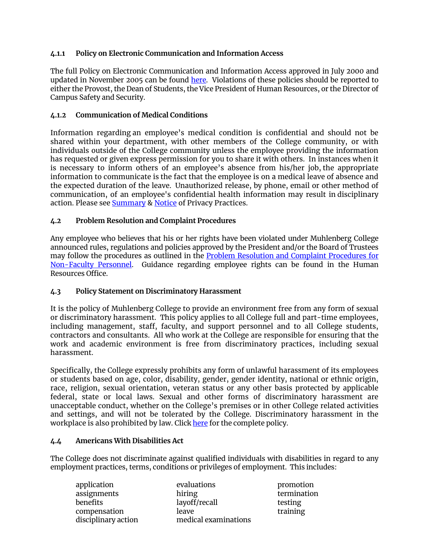# **4.1.1 Policy on Electronic Communication and Information Access**

The full Policy on Electronic Communication and Information Access approved in July 2000 and updated in November 2005 can be found [here.](https://www.muhlenberg.edu/offices/oit/about/policies_procedures/electronic.html) Violations of these policies should be reported to either the Provost, the Dean of Students, the Vice President of Human Resources, or the Director of Campus Safety and Security.

## **4.1.2 Communication of Medical Conditions**

Information regarding an employee's medical condition is confidential and should not be shared within your department, with other members of the College community, or with individuals outside of the College community unless the employee providing the information has requested or given express permission for you to share it with others. In instances when it is necessary to inform others of an employee's absence from his/her job, the appropriate information to communicate is the fact that the employee is on a medical leave of absence and the expected duration of the leave. Unauthorized release, by phone, email or other method of communication, of an employee's confidential health information may result in disciplinary action. Please see [Summary](https://www.muhlenberg.edu/media/contentassets/pdf/about/hr/Summary%20of%20Privacy%20Practices.pdf) & [Notice o](https://www.muhlenberg.edu/media/contentassets/pdf/about/hr/NOTICE%20OF%20PRIVACY%20PRACTICES%20.pdf)f Privacy Practices.

## **4.2 Problem Resolution and Complaint Procedures**

Any employee who believes that his or her rights have been violated under Muhlenberg College announced rules, regulations and policies approved by the President and/or the Board of Trustees may follow the procedures as outlined in the [Problem Resolution and Complaint Procedures for](https://www.muhlenberg.edu/media/contentassets/pdf/about/hr/Problem%20Resolution%20NonFaculty.pdf)  [Non-Faculty Personnel.](https://www.muhlenberg.edu/media/contentassets/pdf/about/hr/Problem%20Resolution%20NonFaculty.pdf) Guidance regarding employee rights can be found in the Human Resources Office.

## **4.3 Policy Statement on Discriminatory Harassment**

It is the policy of Muhlenberg College to provide an environment free from any form of sexual or discriminatory harassment. This policy applies to all College full and part-time employees, including management, staff, faculty, and support personnel and to all College students, contractors and consultants. All who work at the College are responsible for ensuring that the work and academic environment is free from discriminatory practices, including sexual harassment.

Specifically, the College expressly prohibits any form of unlawful harassment of its employees or students based on age, color, disability, gender, gender identity, national or ethnic origin, race, religion, sexual orientation, veteran status or any other basis protected by applicable federal, state or local laws. Sexual and other forms of discriminatory harassment are unacceptable conduct, whether on the College's premises or in other College related activities and settings, and will not be tolerated by the College. Discriminatory harassment in the workplace is also prohibited by law. Clic[k here f](https://www.muhlenberg.edu/media/contentassets/pdf/about/hr/Discriminatory%20Harassment%20Policy%202019-09-27.pdf)or the complete policy.

## **4.4 Americans With Disabilities Act**

The College does not discriminate against qualified individuals with disabilities in regard to any employment practices, terms, conditions or privileges of employment. This includes:

| application         |  |
|---------------------|--|
| assignments         |  |
| benefits            |  |
| compensation        |  |
| disciplinary action |  |

evaluations **promotion** hiring termination layoff/recall testing leave training medical examinations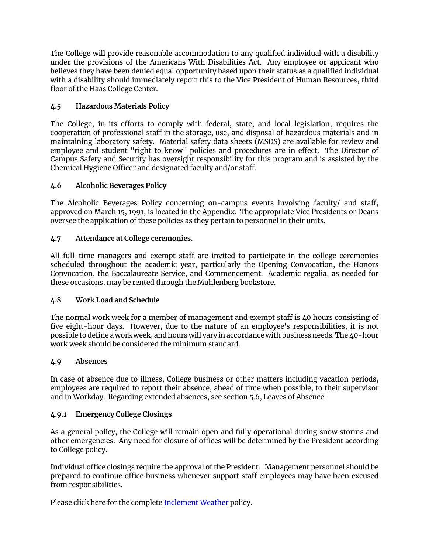The College will provide reasonable accommodation to any qualified individual with a disability under the provisions of the Americans With Disabilities Act. Any employee or applicant who believes they have been denied equal opportunity based upon their status as a qualified individual with a disability should immediately report this to the Vice President of Human Resources, third floor of the Haas College Center.

# **4.5 Hazardous Materials Policy**

The College, in its efforts to comply with federal, state, and local legislation, requires the cooperation of professional staff in the storage, use, and disposal of hazardous materials and in maintaining laboratory safety. Material safety data sheets (MSDS) are available for review and employee and student "right to know" policies and procedures are in effect. The Director of Campus Safety and Security has oversight responsibility for this program and is assisted by the Chemical Hygiene Officer and designated faculty and/or staff.

## **4.6 Alcoholic Beverages Policy**

The Alcoholic Beverages Policy concerning on-campus events involving faculty/ and staff, approved on March 15, 1991, is located in the Appendix. The appropriate Vice Presidents or Deans oversee the application of these policies as they pertain to personnel in their units.

# **4.7 Attendance at College ceremonies.**

All full-time managers and exempt staff are invited to participate in the college ceremonies scheduled throughout the academic year, particularly the Opening Convocation, the Honors Convocation, the Baccalaureate Service, and Commencement. Academic regalia, as needed for these occasions, may be rented through the Muhlenberg bookstore.

## **4.8 Work Load and Schedule**

The normal work week for a member of management and exempt staff is 40 hours consisting of five eight-hour days. However, due to the nature of an employee's responsibilities, it is not possible to define a work week, and hours will vary in accordance with business needs. The 40-hour work week should be considered the minimum standard.

## **4.9 Absences**

In case of absence due to illness, College business or other matters including vacation periods, employees are required to report their absence, ahead of time when possible, to their supervisor and in Workday. Regarding extended absences, see section 5.6, Leaves of Absence.

## **4.9.1 Emergency College Closings**

As a general policy, the College will remain open and fully operational during snow storms and other emergencies. Any need for closure of offices will be determined by the President according to College policy.

Individual office closings require the approval of the President. Management personnel should be prepared to continue office business whenever support staff employees may have been excused from responsibilities.

Please click here for the complete [Inclement Weather](https://www.muhlenberg.edu/offices/hr/weather.html) policy.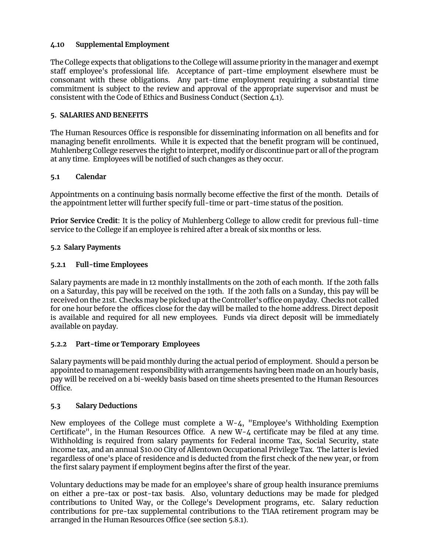# **4.10 Supplemental Employment**

The College expects that obligations to the College will assume priority in the manager and exempt staff employee's professional life. Acceptance of part-time employment elsewhere must be consonant with these obligations. Any part-time employment requiring a substantial time commitment is subject to the review and approval of the appropriate supervisor and must be consistent with the Code of Ethics and Business Conduct (Section 4.1).

## **5. SALARIES AND BENEFITS**

The Human Resources Office is responsible for disseminating information on all benefits and for managing benefit enrollments. While it is expected that the benefit program will be continued, Muhlenberg College reserves the right to interpret, modify or discontinue part or all of the program at any time. Employees will be notified of such changes as they occur.

# **5.1 Calendar**

Appointments on a continuing basis normally become effective the first of the month. Details of the appointment letter will further specify full-time or part-time status of the position.

**Prior Service Credit**: It is the policy of Muhlenberg College to allow credit for previous full-time service to the College if an employee is rehired after a break of six months or less.

# **5.2 Salary Payments**

# **5.2.1 Full-time Employees**

Salary payments are made in 12 monthly installments on the 20th of each month. If the 20th falls on a Saturday, this pay will be received on the 19th. If the 20th falls on a Sunday, this pay will be received on the 21st. Checks may be picked up at the Controller's office on payday. Checks not called for one hour before the offices close for the day will be mailed to the home address. Direct deposit is available and required for all new employees. Funds via direct deposit will be immediately available on payday.

## **5.2.2 Part-time or Temporary Employees**

Salary payments will be paid monthly during the actual period of employment. Should a person be appointed to management responsibility with arrangements having been made on an hourly basis, pay will be received on a bi-weekly basis based on time sheets presented to the Human Resources Office.

## **5.3 Salary Deductions**

New employees of the College must complete a W-4, "Employee's Withholding Exemption Certificate", in the Human Resources Office. A new W-4 certificate may be filed at any time. Withholding is required from salary payments for Federal income Tax, Social Security, state income tax, and an annual \$10.00 City of Allentown Occupational Privilege Tax. The latter is levied regardless of one's place of residence and is deducted from the first check of the new year, or from the first salary payment if employment begins after the first of the year.

Voluntary deductions may be made for an employee's share of group health insurance premiums on either a pre-tax or post-tax basis. Also, voluntary deductions may be made for pledged contributions to United Way, or the College's Development programs, etc. Salary reduction contributions for pre-tax supplemental contributions to the TIAA retirement program may be arranged in the Human Resources Office (see section 5.8.1).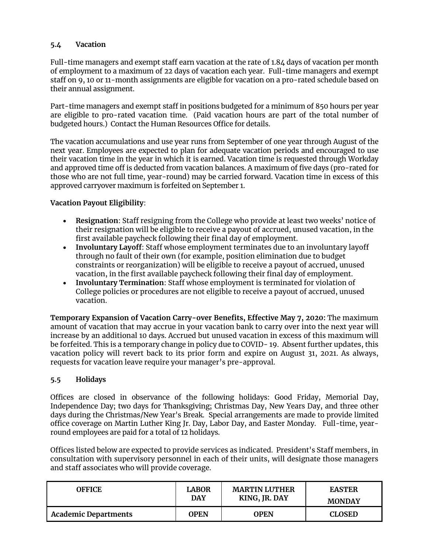# **5.4 Vacation**

Full-time managers and exempt staff earn vacation at the rate of 1.84 days of vacation per month of employment to a maximum of 22 days of vacation each year. Full-time managers and exempt staff on 9, 10 or 11-month assignments are eligible for vacation on a pro-rated schedule based on their annual assignment.

Part-time managers and exempt staff in positions budgeted for a minimum of 850 hours per year are eligible to pro-rated vacation time. (Paid vacation hours are part of the total number of budgeted hours.) Contact the Human Resources Office for details.

The vacation accumulations and use year runs from September of one year through August of the next year. Employees are expected to plan for adequate vacation periods and encouraged to use their vacation time in the year in which it is earned. Vacation time is requested through Workday and approved time off is deducted from vacation balances. A maximum of five days (pro-rated for those who are not full time, year-round) may be carried forward. Vacation time in excess of this approved carryover maximum is forfeited on September 1.

# **Vacation Payout Eligibility**:

- **Resignation**: Staff resigning from the College who provide at least two weeks' notice of their resignation will be eligible to receive a payout of accrued, unused vacation, in the first available paycheck following their final day of employment.
- **Involuntary Layoff**: Staff whose employment terminates due to an involuntary layoff through no fault of their own (for example, position elimination due to budget constraints or reorganization) will be eligible to receive a payout of accrued, unused vacation, in the first available paycheck following their final day of employment.
- **Involuntary Termination**: Staff whose employment is terminated for violation of College policies or procedures are not eligible to receive a payout of accrued, unused vacation.

**Temporary Expansion of Vacation Carry-over Benefits, Effective May 7, 2020:** The maximum amount of vacation that may accrue in your vacation bank to carry over into the next year will increase by an additional 10 days. Accrued but unused vacation in excess of this maximum will be forfeited. This is a temporary change in policy due to COVID- 19. Absent further updates, this vacation policy will revert back to its prior form and expire on August 31, 2021. As always, requests for vacation leave require your manager's pre-approval.

## **5.5 Holidays**

Offices are closed in observance of the following holidays: Good Friday, Memorial Day, Independence Day; two days for Thanksgiving; Christmas Day, New Years Day, and three other days during the Christmas/New Year's Break. Special arrangements are made to provide limited office coverage on Martin Luther King Jr. Day, Labor Day, and Easter Monday. Full-time, yearround employees are paid for a total of 12 holidays.

Offices listed below are expected to provide services as indicated. President's Staff members, in consultation with supervisory personnel in each of their units, will designate those managers and staff associates who will provide coverage.

| OFFICE.                     | <b>LABOR</b> | <b>MARTIN LUTHER</b> | <b>EASTER</b> |
|-----------------------------|--------------|----------------------|---------------|
|                             | <b>DAY</b>   | KING, JR. DAY        | <b>MONDAY</b> |
| <b>Academic Departments</b> | <b>OPEN</b>  | OPEN                 | <b>CLOSED</b> |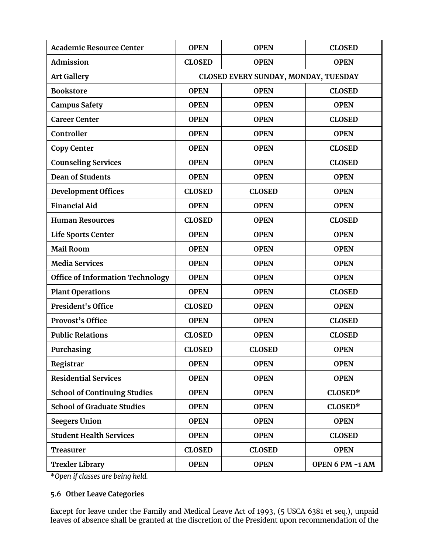| <b>Academic Resource Center</b>         | <b>OPEN</b>                          | <b>OPEN</b>   | <b>CLOSED</b>   |  |
|-----------------------------------------|--------------------------------------|---------------|-----------------|--|
| <b>Admission</b>                        | <b>CLOSED</b>                        | <b>OPEN</b>   | <b>OPEN</b>     |  |
| <b>Art Gallery</b>                      | CLOSED EVERY SUNDAY, MONDAY, TUESDAY |               |                 |  |
| <b>Bookstore</b>                        | <b>OPEN</b>                          | <b>OPEN</b>   | <b>CLOSED</b>   |  |
| <b>Campus Safety</b>                    | <b>OPEN</b>                          | <b>OPEN</b>   | <b>OPEN</b>     |  |
| <b>Career Center</b>                    | <b>OPEN</b>                          | <b>OPEN</b>   | <b>CLOSED</b>   |  |
| Controller                              | <b>OPEN</b>                          | <b>OPEN</b>   | <b>OPEN</b>     |  |
| <b>Copy Center</b>                      | <b>OPEN</b>                          | <b>OPEN</b>   | <b>CLOSED</b>   |  |
| <b>Counseling Services</b>              | <b>OPEN</b>                          | <b>OPEN</b>   | <b>CLOSED</b>   |  |
| <b>Dean of Students</b>                 | <b>OPEN</b>                          | <b>OPEN</b>   | <b>OPEN</b>     |  |
| <b>Development Offices</b>              | <b>CLOSED</b>                        | <b>CLOSED</b> | <b>OPEN</b>     |  |
| <b>Financial Aid</b>                    | <b>OPEN</b>                          | <b>OPEN</b>   | <b>OPEN</b>     |  |
| <b>Human Resources</b>                  | <b>CLOSED</b>                        | <b>OPEN</b>   | <b>CLOSED</b>   |  |
| <b>Life Sports Center</b>               | <b>OPEN</b>                          | <b>OPEN</b>   | <b>OPEN</b>     |  |
| <b>Mail Room</b>                        | <b>OPEN</b>                          | <b>OPEN</b>   | <b>OPEN</b>     |  |
| <b>Media Services</b>                   | <b>OPEN</b>                          | <b>OPEN</b>   | <b>OPEN</b>     |  |
| <b>Office of Information Technology</b> | <b>OPEN</b>                          | <b>OPEN</b>   | <b>OPEN</b>     |  |
| <b>Plant Operations</b>                 | <b>OPEN</b>                          | <b>OPEN</b>   | <b>CLOSED</b>   |  |
| President's Office                      | <b>CLOSED</b>                        | <b>OPEN</b>   | <b>OPEN</b>     |  |
| <b>Provost's Office</b>                 | <b>OPEN</b>                          | <b>OPEN</b>   | <b>CLOSED</b>   |  |
| <b>Public Relations</b>                 | <b>CLOSED</b>                        | <b>OPEN</b>   | <b>CLOSED</b>   |  |
| Purchasing                              | <b>CLOSED</b>                        | <b>CLOSED</b> | <b>OPEN</b>     |  |
| Registrar                               | <b>OPEN</b>                          | <b>OPEN</b>   | <b>OPEN</b>     |  |
| <b>Residential Services</b>             | <b>OPEN</b>                          | <b>OPEN</b>   | <b>OPEN</b>     |  |
| <b>School of Continuing Studies</b>     | <b>OPEN</b>                          | <b>OPEN</b>   | CLOSED*         |  |
| <b>School of Graduate Studies</b>       | <b>OPEN</b>                          | <b>OPEN</b>   | CLOSED*         |  |
| <b>Seegers Union</b>                    | <b>OPEN</b>                          | <b>OPEN</b>   | <b>OPEN</b>     |  |
| <b>Student Health Services</b>          | <b>OPEN</b>                          | <b>OPEN</b>   | <b>CLOSED</b>   |  |
| <b>Treasurer</b>                        | <b>CLOSED</b>                        | <b>CLOSED</b> | <b>OPEN</b>     |  |
| <b>Trexler Library</b>                  | <b>OPEN</b>                          | <b>OPEN</b>   | OPEN 6 PM -1 AM |  |

\**Open if classes are being held.* 

# **5.6 Other Leave Categories**

Except for leave under the Family and Medical Leave Act of 1993, (5 USCA 6381 et seq.), unpaid leaves of absence shall be granted at the discretion of the President upon recommendation of the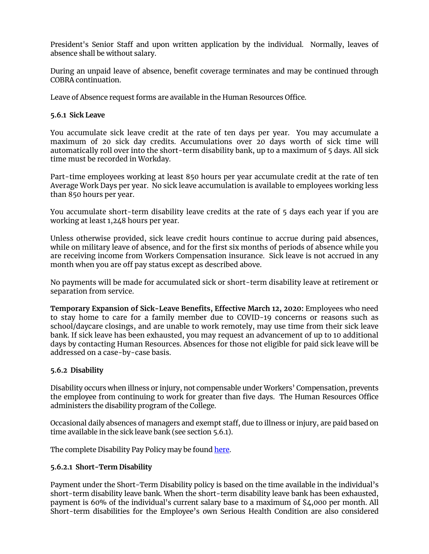President's Senior Staff and upon written application by the individual. Normally, leaves of absence shall be without salary.

During an unpaid leave of absence, benefit coverage terminates and may be continued through COBRA continuation.

Leave of Absence request forms are available in the Human Resources Office.

## **5.6.1 Sick Leave**

You accumulate sick leave credit at the rate of ten days per year. You may accumulate a maximum of 20 sick day credits. Accumulations over 20 days worth of sick time will automatically roll over into the short-term disability bank, up to a maximum of 5 days. All sick time must be recorded in Workday.

Part-time employees working at least 850 hours per year accumulate credit at the rate of ten Average Work Days per year. No sick leave accumulation is available to employees working less than 850 hours per year.

You accumulate short-term disability leave credits at the rate of 5 days each year if you are working at least 1,248 hours per year.

Unless otherwise provided, sick leave credit hours continue to accrue during paid absences, while on military leave of absence, and for the first six months of periods of absence while you are receiving income from Workers Compensation insurance. Sick leave is not accrued in any month when you are off pay status except as described above.

No payments will be made for accumulated sick or short-term disability leave at retirement or separation from service.

**Temporary Expansion of Sick-Leave Benefits, Effective March 12, 2020:** Employees who need to stay home to care for a family member due to COVID-19 concerns or reasons such as school/daycare closings, and are unable to work remotely, may use time from their sick leave bank. If sick leave has been exhausted, you may request an advancement of up to 10 additional days by contacting Human Resources. Absences for those not eligible for paid sick leave will be addressed on a case-by-case basis.

## **5.6.2 Disability**

Disability occurs when illness or injury, not compensable under Workers' Compensation, prevents the employee from continuing to work for greater than five days. The Human Resources Office administers the disability program of the College.

Occasional daily absences of managers and exempt staff, due to illness or injury, are paid based on time available in the sick leave bank (see section 5.6.1).

The complete Disability Pay Policy may be found [here.](https://www.muhlenberg.edu/media/contentassets/pdf/about/hr/Disability%20Pay%20Policy.pdf)

## **5.6.2.1 Short-Term Disability**

Payment under the Short-Term Disability policy is based on the time available in the individual's short-term disability leave bank. When the short-term disability leave bank has been exhausted, payment is 60% of the individual's current salary base to a maximum of \$4,000 per month. All Short-term disabilities for the Employee's own Serious Health Condition are also considered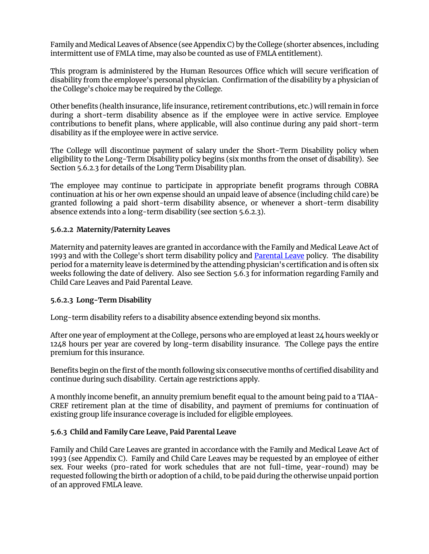Family and Medical Leaves of Absence (see Appendix C) by the College (shorter absences, including intermittent use of FMLA time, may also be counted as use of FMLA entitlement).

This program is administered by the Human Resources Office which will secure verification of disability from the employee's personal physician. Confirmation of the disability by a physician of the College's choice may be required by the College.

Other benefits (health insurance, life insurance, retirement contributions, etc.) will remain in force during a short-term disability absence as if the employee were in active service. Employee contributions to benefit plans, where applicable, will also continue during any paid short-term disability as if the employee were in active service.

The College will discontinue payment of salary under the Short-Term Disability policy when eligibility to the Long-Term Disability policy begins (six months from the onset of disability). See Section 5.6.2.3 for details of the Long Term Disability plan.

The employee may continue to participate in appropriate benefit programs through COBRA continuation at his or her own expense should an unpaid leave of absence (including child care) be granted following a paid short-term disability absence, or whenever a short-term disability absence extends into a long-term disability (see section 5.6.2.3).

## **5.6.2.2 Maternity/Paternity Leaves**

Maternity and paternity leaves are granted in accordance with the Family and Medical Leave Act of 1993 and with the College's short term disability policy and [Parental Leave](https://www.muhlenberg.edu/media/contentassets/pdf/about/hr/Paid%20Parental%20Leave%20Plan%20July%202019.pdf) policy. The disability period for a maternity leave is determined by the attending physician's certification and is often six weeks following the date of delivery. Also see Section 5.6.3 for information regarding Family and Child Care Leaves and Paid Parental Leave.

## **5.6.2.3 Long-Term Disability**

Long-term disability refers to a disability absence extending beyond six months.

After one year of employment at the College, persons who are employed at least 24 hours weekly or 1248 hours per year are covered by long-term disability insurance. The College pays the entire premium for this insurance.

Benefits begin on the first of the month following six consecutive months of certified disability and continue during such disability. Certain age restrictions apply.

A monthly income benefit, an annuity premium benefit equal to the amount being paid to a TIAA-CREF retirement plan at the time of disability, and payment of premiums for continuation of existing group life insurance coverage is included for eligible employees.

## **5.6.3 Child and Family Care Leave, Paid Parental Leave**

Family and Child Care Leaves are granted in accordance with the Family and Medical Leave Act of 1993 (see Appendix C). Family and Child Care Leaves may be requested by an employee of either sex. Four weeks (pro-rated for work schedules that are not full-time, year-round) may be requested following the birth or adoption of a child, to be paid during the otherwise unpaid portion of an approved FMLA leave.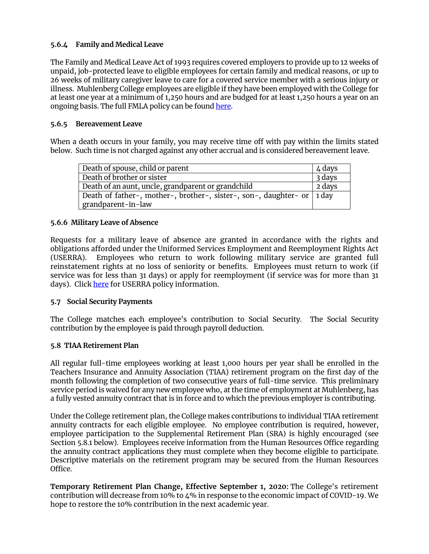# **5.6.4 Family and Medical Leave**

The Family and Medical Leave Act of 1993 requires covered employers to provide up to 12 weeks of unpaid, job-protected leave to eligible employees for certain family and medical reasons, or up to 26 weeks of military caregiver leave to care for a covered service member with a serious injury or illness. Muhlenberg College employees are eligible if they have been employed with the College for at least one year at a minimum of 1,250 hours and are budged for at least 1,250 hours a year on an ongoing basis. The full FMLA policy can be found [here.](https://www.muhlenberg.edu/media/contentassets/pdf/about/hr/Paid%20Parental%20Leave%20Plan%20July%202019.pdf)

# **5.6.5 Bereavement Leave**

When a death occurs in your family, you may receive time off with pay within the limits stated below. Such time is not charged against any other accrual and is considered bereavement leave.

| Death of spouse, child or parent                                         | $4$ days |
|--------------------------------------------------------------------------|----------|
| Death of brother or sister                                               | 3 days   |
| Death of an aunt, uncle, grandparent or grandchild                       | 2 days   |
| Death of father-, mother-, brother-, sister-, son-, daughter- or   1 day |          |
| grandparent-in-law                                                       |          |

# **5.6.6 Military Leave of Absence**

Requests for a military leave of absence are granted in accordance with the rights and obligations afforded under the Uniformed Services Employment and Reemployment Rights Act (USERRA). Employees who return to work following military service are granted full reinstatement rights at no loss of seniority or benefits. Employees must return to work (if service was for less than 31 days) or apply for reemployment (if service was for more than 31 days). Click [here](https://www.muhlenberg.edu/media/contentassets/pdf/about/hr/Muhlenberg%20College%20Military%20Leave%20Policy.pdf) for USERRA policy information.

## **5.7 Social Security Payments**

The College matches each employee's contribution to Social Security. The Social Security contribution by the employee is paid through payroll deduction.

## **5.8 TIAA Retirement Plan**

All regular full-time employees working at least 1,000 hours per year shall be enrolled in the Teachers Insurance and Annuity Association (TIAA) retirement program on the first day of the month following the completion of two consecutive years of full-time service. This preliminary service period is waived for any new employee who, at the time of employment at Muhlenberg, has a fully vested annuity contract that is in force and to which the previous employer is contributing.

Under the College retirement plan, the College makes contributions to individual TIAA retirement annuity contracts for each eligible employee. No employee contribution is required, however, employee participation to the Supplemental Retirement Plan (SRA) is highly encouraged (see Section 5.8.1 below). Employees receive information from the Human Resources Office regarding the annuity contract applications they must complete when they become eligible to participate. Descriptive materials on the retirement program may be secured from the Human Resources Office.

**Temporary Retirement Plan Change, Effective September 1, 2020:** The College's retirement contribution will decrease from 10% to 4% in response to the economic impact of COVID-19. We hope to restore the 10% contribution in the next academic year.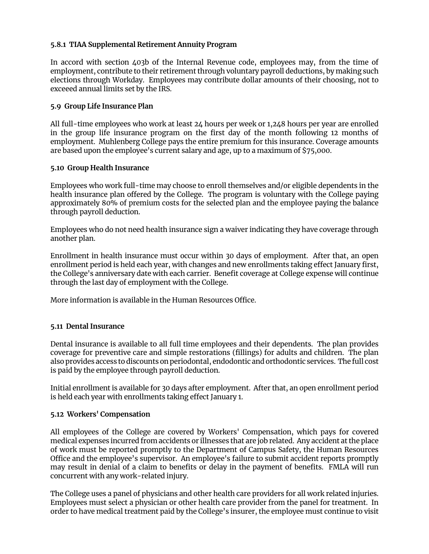# **5.8.1 TIAA Supplemental Retirement Annuity Program**

In accord with section 403b of the Internal Revenue code, employees may, from the time of employment, contribute to their retirement through voluntary payroll deductions, by making such elections through Workday. Employees may contribute dollar amounts of their choosing, not to exceeed annual limits set by the IRS.

## **5.9 Group Life Insurance Plan**

All full-time employees who work at least 24 hours per week or 1,248 hours per year are enrolled in the group life insurance program on the first day of the month following 12 months of employment. Muhlenberg College pays the entire premium for this insurance. Coverage amounts are based upon the employee's current salary and age, up to a maximum of \$75,000.

## **5.10 Group Health Insurance**

Employees who work full-time may choose to enroll themselves and/or eligible dependents in the health insurance plan offered by the College. The program is voluntary with the College paying approximately 80% of premium costs for the selected plan and the employee paying the balance through payroll deduction.

Employees who do not need health insurance sign a waiver indicating they have coverage through another plan.

Enrollment in health insurance must occur within 30 days of employment. After that, an open enrollment period is held each year, with changes and new enrollments taking effect January first, the College's anniversary date with each carrier. Benefit coverage at College expense will continue through the last day of employment with the College.

More information is available in the Human Resources Office.

## **5.11 Dental Insurance**

Dental insurance is available to all full time employees and their dependents. The plan provides coverage for preventive care and simple restorations (fillings) for adults and children. The plan also provides access to discounts on periodontal, endodontic and orthodontic services. The full cost is paid by the employee through payroll deduction.

Initial enrollment is available for 30 days after employment. After that, an open enrollment period is held each year with enrollments taking effect January 1.

## **5.12 Workers' Compensation**

All employees of the College are covered by Workers' Compensation, which pays for covered medical expenses incurred from accidents or illnesses that are job related. Any accident at the place of work must be reported promptly to the Department of Campus Safety, the Human Resources Office and the employee's supervisor. An employee's failure to submit accident reports promptly may result in denial of a claim to benefits or delay in the payment of benefits. FMLA will run concurrent with any work-related injury.

The College uses a panel of physicians and other health care providers for all work related injuries. Employees must select a physician or other health care provider from the panel for treatment. In order to have medical treatment paid by the College's insurer, the employee must continue to visit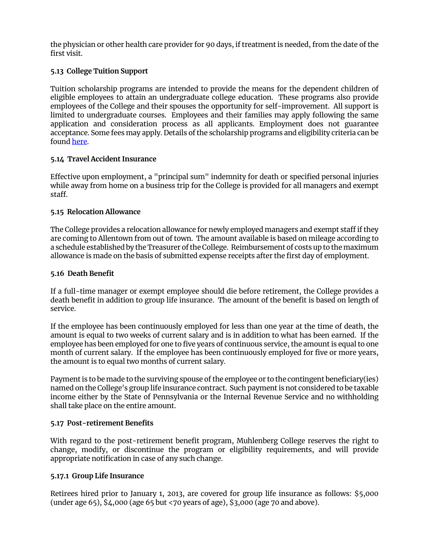the physician or other health care provider for 90 days, if treatment is needed, from the date of the first visit.

# **5.13 College Tuition Support**

Tuition scholarship programs are intended to provide the means for the dependent children of eligible employees to attain an undergraduate college education. These programs also provide employees of the College and their spouses the opportunity for self-improvement. All support is limited to undergraduate courses. Employees and their families may apply following the same application and consideration process as all applicants. Employment does not guarantee acceptance. Some fees may apply. Details of the scholarship programs and eligibility criteria can be foun[d here.](https://www.muhlenberg.edu/offices/hr/currentemployees/employeebenefits/#Tuition)

## **5.14 Travel Accident Insurance**

Effective upon employment, a "principal sum" indemnity for death or specified personal injuries while away from home on a business trip for the College is provided for all managers and exempt staff.

## **5.15 Relocation Allowance**

The College provides a relocation allowance for newly employed managers and exempt staff if they are coming to Allentown from out of town. The amount available is based on mileage according to a schedule established by the Treasurer of the College. Reimbursement of costs up to the maximum allowance is made on the basis of submitted expense receipts after the first day of employment.

## **5.16 Death Benefit**

If a full-time manager or exempt employee should die before retirement, the College provides a death benefit in addition to group life insurance. The amount of the benefit is based on length of service.

If the employee has been continuously employed for less than one year at the time of death, the amount is equal to two weeks of current salary and is in addition to what has been earned. If the employee has been employed for one to five years of continuous service, the amount is equal to one month of current salary. If the employee has been continuously employed for five or more years, the amount is to equal two months of current salary.

Payment is to be made to the surviving spouse of the employee or to the contingent beneficiary(ies) named on the College's group life insurance contract. Such payment is not considered to be taxable income either by the State of Pennsylvania or the Internal Revenue Service and no withholding shall take place on the entire amount.

## **5.17 Post-retirement Benefits**

With regard to the post-retirement benefit program, Muhlenberg College reserves the right to change, modify, or discontinue the program or eligibility requirements, and will provide appropriate notification in case of any such change.

## **5.17.1 Group Life Insurance**

Retirees hired prior to January 1, 2013, are covered for group life insurance as follows: \$5,000 (under age 65),  $$4,000$  (age 65 but <70 years of age),  $$3,000$  (age 70 and above).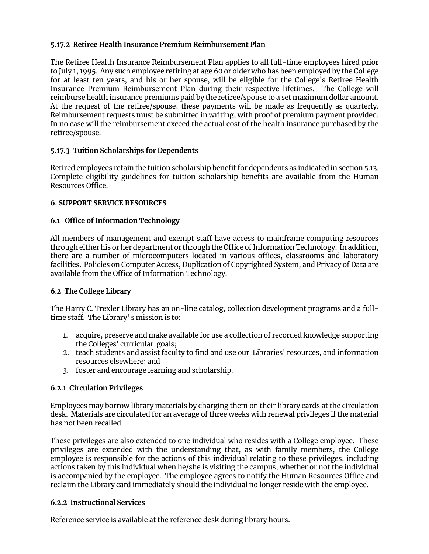# **5.17.2 Retiree Health Insurance Premium Reimbursement Plan**

The Retiree Health Insurance Reimbursement Plan applies to all full-time employees hired prior to July 1, 1995. Any such employee retiring at age 60 or older who has been employed by the College for at least ten years, and his or her spouse, will be eligible for the College's Retiree Health Insurance Premium Reimbursement Plan during their respective lifetimes. The College will reimburse health insurance premiums paid by the retiree/spouse to a set maximum dollar amount. At the request of the retiree/spouse, these payments will be made as frequently as quarterly. Reimbursement requests must be submitted in writing, with proof of premium payment provided. In no case will the reimbursement exceed the actual cost of the health insurance purchased by the retiree/spouse.

# **5.17.3 Tuition Scholarships for Dependents**

Retired employees retain the tuition scholarship benefit for dependents as indicated in section 5.13. Complete eligibility guidelines for tuition scholarship benefits are available from the Human Resources Office.

# **6. SUPPORT SERVICE RESOURCES**

# **6.1 Office of Information Technology**

All members of management and exempt staff have access to mainframe computing resources through either his or her department or through the Office of Information Technology. In addition, there are a number of microcomputers located in various offices, classrooms and laboratory facilities. Policies on Computer Access, Duplication of Copyrighted System, and Privacy of Data are available from the Office of Information Technology.

# **6.2 The College Library**

The Harry C. Trexler Library has an on-line catalog, collection development programs and a fulltime staff. The Library' s mission is to:

- 1. acquire, preserve and make available for use a collection of recorded knowledge supporting the Colleges' curricular goals;
- 2. teach students and assist faculty to find and use our Libraries' resources, and information resources elsewhere; and
- 3. foster and encourage learning and scholarship.

## **6.2.1 Circulation Privileges**

Employees may borrow library materials by charging them on their library cards at the circulation desk. Materials are circulated for an average of three weeks with renewal privileges if the material has not been recalled.

These privileges are also extended to one individual who resides with a College employee. These privileges are extended with the understanding that, as with family members, the College employee is responsible for the actions of this individual relating to these privileges, including actions taken by this individual when he/she is visiting the campus, whether or not the individual is accompanied by the employee. The employee agrees to notify the Human Resources Office and reclaim the Library card immediately should the individual no longer reside with the employee.

## **6.2.2 Instructional Services**

Reference service is available at the reference desk during library hours.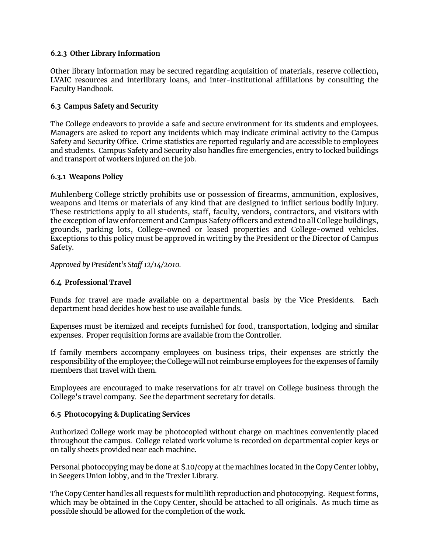## **6.2.3 Other Library Information**

Other library information may be secured regarding acquisition of materials, reserve collection, LVAIC resources and interlibrary loans, and inter-institutional affiliations by consulting the Faculty Handbook.

# **6.3 Campus Safety and Security**

The College endeavors to provide a safe and secure environment for its students and employees. Managers are asked to report any incidents which may indicate criminal activity to the Campus Safety and Security Office. Crime statistics are reported regularly and are accessible to employees and students. Campus Safety and Security also handles fire emergencies, entry to locked buildings and transport of workers injured on the job.

## **6.3.1 Weapons Policy**

Muhlenberg College strictly prohibits use or possession of firearms, ammunition, explosives, weapons and items or materials of any kind that are designed to inflict serious bodily injury. These restrictions apply to all students, staff, faculty, vendors, contractors, and visitors with the exception of law enforcement and Campus Safety officers and extend to all College buildings, grounds, parking lots, College-owned or leased properties and College-owned vehicles. Exceptions to this policy must be approved in writing by the President or the Director of Campus Safety.

## *Approved by President's Staff 12/14/2010.*

## **6.4 Professional Travel**

Funds for travel are made available on a departmental basis by the Vice Presidents. Each department head decides how best to use available funds.

Expenses must be itemized and receipts furnished for food, transportation, lodging and similar expenses. Proper requisition forms are available from the Controller.

If family members accompany employees on business trips, their expenses are strictly the responsibility of the employee; the College will not reimburse employees for the expenses of family members that travel with them.

Employees are encouraged to make reservations for air travel on College business through the College's travel company. See the department secretary for details.

## **6.5 Photocopying & Duplicating Services**

Authorized College work may be photocopied without charge on machines conveniently placed throughout the campus. College related work volume is recorded on departmental copier keys or on tally sheets provided near each machine.

Personal photocopying may be done at \$.10/copy at the machines located in the Copy Center lobby, in Seegers Union lobby, and in the Trexler Library.

The Copy Center handles all requests for multilith reproduction and photocopying. Request forms, which may be obtained in the Copy Center, should be attached to all originals. As much time as possible should be allowed for the completion of the work.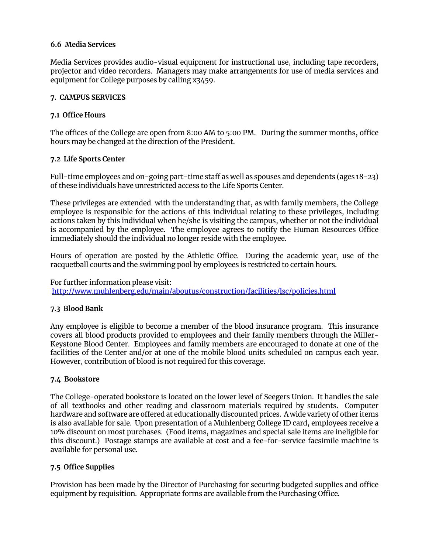# **6.6 Media Services**

Media Services provides audio-visual equipment for instructional use, including tape recorders, projector and video recorders. Managers may make arrangements for use of media services and equipment for College purposes by calling x3459.

## **7. CAMPUS SERVICES**

# **7.1 Office Hours**

The offices of the College are open from 8:00 AM to 5:00 PM. During the summer months, office hours may be changed at the direction of the President.

# **7.2 Life Sports Center**

Full-time employees and on-going part-time staff as well as spouses and dependents (ages 18-23) of these individuals have unrestricted access to the Life Sports Center.

These privileges are extended with the understanding that, as with family members, the College employee is responsible for the actions of this individual relating to these privileges, including actions taken by this individual when he/she is visiting the campus, whether or not the individual is accompanied by the employee. The employee agrees to notify the Human Resources Office immediately should the individual no longer reside with the employee.

Hours of operation are posted by the Athletic Office. During the academic year, use of the racquetball courts and the swimming pool by employees is restricted to certain hours.

For further information please visit: <http://www.muhlenberg.edu/main/aboutus/construction/facilities/lsc/policies.html>

# **7.3 Blood Bank**

Any employee is eligible to become a member of the blood insurance program. This insurance covers all blood products provided to employees and their family members through the Miller-Keystone Blood Center. Employees and family members are encouraged to donate at one of the facilities of the Center and/or at one of the mobile blood units scheduled on campus each year. However, contribution of blood is not required for this coverage.

## **7.4 Bookstore**

The College-operated bookstore is located on the lower level of Seegers Union. It handles the sale of all textbooks and other reading and classroom materials required by students. Computer hardware and software are offered at educationally discounted prices. A wide variety of other items is also available for sale. Upon presentation of a Muhlenberg College ID card, employees receive a 10% discount on most purchases. (Food items, magazines and special sale items are ineligible for this discount.) Postage stamps are available at cost and a fee-for-service facsimile machine is available for personal use.

# **7.5 Office Supplies**

Provision has been made by the Director of Purchasing for securing budgeted supplies and office equipment by requisition. Appropriate forms are available from the Purchasing Office.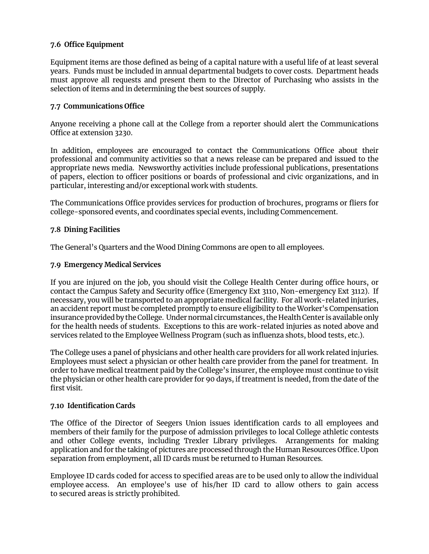# **7.6 Office Equipment**

Equipment items are those defined as being of a capital nature with a useful life of at least several years. Funds must be included in annual departmental budgets to cover costs. Department heads must approve all requests and present them to the Director of Purchasing who assists in the selection of items and in determining the best sources of supply.

#### **7.7 Communications Office**

Anyone receiving a phone call at the College from a reporter should alert the Communications Office at extension 3230.

In addition, employees are encouraged to contact the Communications Office about their professional and community activities so that a news release can be prepared and issued to the appropriate news media. Newsworthy activities include professional publications, presentations of papers, election to officer positions or boards of professional and civic organizations, and in particular, interesting and/or exceptional work with students.

The Communications Office provides services for production of brochures, programs or fliers for college-sponsored events, and coordinates special events, including Commencement.

#### **7.8 Dining Facilities**

The General's Quarters and the Wood Dining Commons are open to all employees.

#### **7.9 Emergency Medical Services**

If you are injured on the job, you should visit the College Health Center during office hours, or contact the Campus Safety and Security office (Emergency Ext 3110, Non-emergency Ext 3112). If necessary, you will be transported to an appropriate medical facility. For all work-related injuries, an accident report must be completed promptly to ensure eligibility to the Worker's Compensation insurance provided by the College. Under normal circumstances, the Health Center is available only for the health needs of students. Exceptions to this are work-related injuries as noted above and services related to the Employee Wellness Program (such as influenza shots, blood tests, etc.).

The College uses a panel of physicians and other health care providers for all work related injuries. Employees must select a physician or other health care provider from the panel for treatment. In order to have medical treatment paid by the College's insurer, the employee must continue to visit the physician or other health care provider for 90 days, if treatment is needed, from the date of the first visit.

#### **7.10 Identification Cards**

The Office of the Director of Seegers Union issues identification cards to all employees and members of their family for the purpose of admission privileges to local College athletic contests and other College events, including Trexler Library privileges. Arrangements for making application and for the taking of pictures are processed through the Human Resources Office. Upon separation from employment, all ID cards must be returned to Human Resources.

Employee ID cards coded for access to specified areas are to be used only to allow the individual employee access. An employee's use of his/her ID card to allow others to gain access to secured areas is strictly prohibited.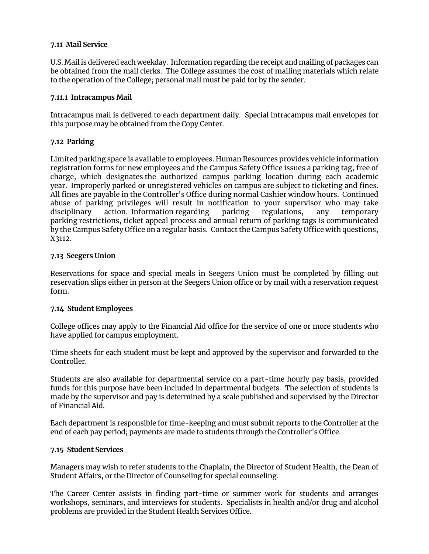## **7.11 Mail Service**

U.S. Mail is delivered each weekday. Information regarding the receipt and mailing of packages can be obtained from the mail clerks. The College assumes the cost of mailing materials which relate to the operation of the College; personal mail must be paid for by the sender.

#### **7.11.1 Intracampus Mail**

Intracampus mail is delivered to each department daily. Special intracampus mail envelopes for this purpose may be obtained from the Copy Center.

## **7.12 Parking**

Limited parking space is available to employees. Human Resources provides vehicle information registration forms for new employees and the Campus Safety Office issues a parking tag, free of charge, which designates the authorized campus parking location during each academic year. Improperly parked or unregistered vehicles on campus are subject to ticketing and fines. All fines are payable in the Controller's Office during normal Cashier window hours. Continued abuse of parking privileges will result in notification to your supervisor who may take disciplinary action. Information regarding parking regulations, any temporary parking restrictions, ticket appeal process and annual return of parking tags is communicated by the Campus Safety Office on a regular basis. Contact the Campus Safety Office with questions, X3112.

## **7.13 Seegers Union**

Reservations for space and special meals in Seegers Union must be completed by filling out reservation slips either in person at the Seegers Union office or by mail with a reservation request form.

## **7.14 Student Employees**

College offices may apply to the Financial Aid office for the service of one or more students who have applied for campus employment.

Time sheets for each student must be kept and approved by the supervisor and forwarded to the Controller.

Students are also available for departmental service on a part-time hourly pay basis, provided funds for this purpose have been included in departmental budgets. The selection of students is made by the supervisor and pay is determined by a scale published and supervised by the Director of Financial Aid.

Each department is responsible for time-keeping and must submit reports to the Controller at the end of each pay period; payments are made to students through the Controller's Office.

## **7.15 Student Services**

Managers may wish to refer students to the Chaplain, the Director of Student Health, the Dean of Student Affairs, or the Director of Counseling for special counseling.

The Career Center assists in finding part-time or summer work for students and arranges workshops, seminars, and interviews for students. Specialists in health and/or drug and alcohol problems are provided in the Student Health Services Office.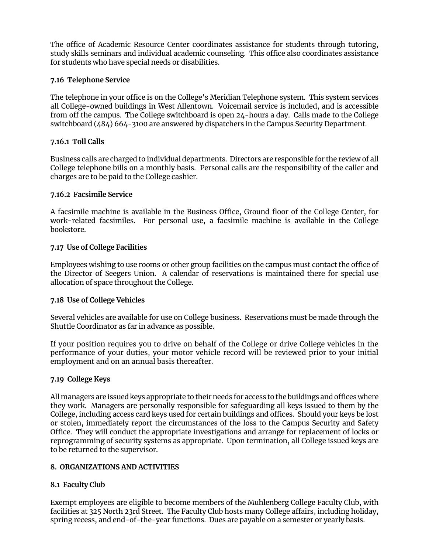The office of Academic Resource Center coordinates assistance for students through tutoring, study skills seminars and individual academic counseling. This office also coordinates assistance for students who have special needs or disabilities.

## **7.16 Telephone Service**

The telephone in your office is on the College's Meridian Telephone system. This system services all College-owned buildings in West Allentown. Voicemail service is included, and is accessible from off the campus. The College switchboard is open 24-hours a day. Calls made to the College switchboard (484) 664-3100 are answered by dispatchers in the Campus Security Department.

## **7.16.1 Toll Calls**

Business calls are charged to individual departments. Directors are responsible for the review of all College telephone bills on a monthly basis. Personal calls are the responsibility of the caller and charges are to be paid to the College cashier.

#### **7.16.2 Facsimile Service**

A facsimile machine is available in the Business Office, Ground floor of the College Center, for work-related facsimiles. For personal use, a facsimile machine is available in the College bookstore.

#### **7.17 Use of College Facilities**

Employees wishing to use rooms or other group facilities on the campus must contact the office of the Director of Seegers Union. A calendar of reservations is maintained there for special use allocation of space throughout the College.

## **7.18 Use of College Vehicles**

Several vehicles are available for use on College business. Reservations must be made through the Shuttle Coordinator as far in advance as possible.

If your position requires you to drive on behalf of the College or drive College vehicles in the performance of your duties, your motor vehicle record will be reviewed prior to your initial employment and on an annual basis thereafter.

#### **7.19 College Keys**

All managers are issued keys appropriate to their needs for access to the buildings and offices where they work. Managers are personally responsible for safeguarding all keys issued to them by the College, including access card keys used for certain buildings and offices. Should your keys be lost or stolen, immediately report the circumstances of the loss to the Campus Security and Safety Office. They will conduct the appropriate investigations and arrange for replacement of locks or reprogramming of security systems as appropriate. Upon termination, all College issued keys are to be returned to the supervisor.

#### **8. ORGANIZATIONS AND ACTIVITIES**

## **8.1 Faculty Club**

Exempt employees are eligible to become members of the Muhlenberg College Faculty Club, with facilities at 325 North 23rd Street. The Faculty Club hosts many College affairs, including holiday, spring recess, and end-of-the-year functions. Dues are payable on a semester or yearly basis.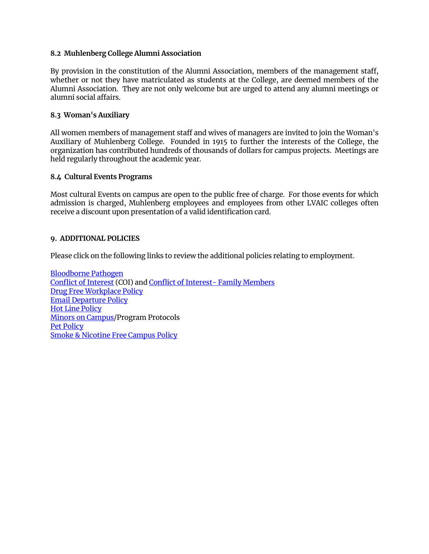#### **8.2 Muhlenberg College Alumni Association**

By provision in the constitution of the Alumni Association, members of the management staff, whether or not they have matriculated as students at the College, are deemed members of the Alumni Association. They are not only welcome but are urged to attend any alumni meetings or alumni social affairs.

#### **8.3 Woman's Auxiliary**

All women members of management staff and wives of managers are invited to join the Woman's Auxiliary of Muhlenberg College. Founded in 1915 to further the interests of the College, the organization has contributed hundreds of thousands of dollars for campus projects. Meetings are held regularly throughout the academic year.

#### **8.4 Cultural Events Programs**

Most cultural Events on campus are open to the public free of charge. For those events for which admission is charged, Muhlenberg employees and employees from other LVAIC colleges often receive a discount upon presentation of a valid identification card.

#### **9. ADDITIONAL POLICIES**

Please click on the following links to review the additional policies relating to employment.

[Bloodborne Pathogen](https://www.muhlenberg.edu/media/contentassets/pdf/about/hr/Occupational%20Exposure%20to%20Bloodborne%20Pathogens.pdf) [Conflict of Interest](https://www.muhlenberg.edu/media/contentassets/pdf/about/hr/ConflictofInterest%20Policy.pdf) (COI) an[d Conflict of Interest- Family Members](https://www.muhlenberg.edu/media/contentassets/pdf/about/hr/COI%20Family%20Members.pdf) [Drug Free Workplace Policy](https://www.muhlenberg.edu/media/contentassets/pdf/about/hr/Drug%20Free%20Workplace%20Policy.pdf) [Email Departure Policy](https://www.muhlenberg.edu/offices/oit/about/policies_procedures/account-policy.html) [Hot Line Policy](https://www.muhlenberg.edu/media/contentassets/pdf/about/treasurer/Hot%20Line%20Policy.pdf) [Minors on Campus/](https://www.muhlenberg.edu/media/contentassets/pdf/about/hr/Children%20on%20Campus%20Bundle.pdf)Program Protocols [Pet Policy](https://www.muhlenberg.edu/media/contentassets/pdf/about/hr/Petpolicyfinal101405.pdf) [Smoke & Nicotine Free Campus Policy](https://www.muhlenberg.edu/media/contentassets/pdf/about/hr/MuhlenbergCollegeSmokeNicotineFreeCampusPolicy.pdf)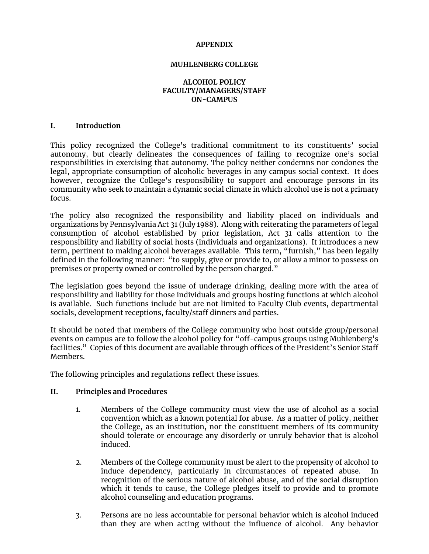#### **APPENDIX**

#### **MUHLENBERG COLLEGE**

#### **ALCOHOL POLICY FACULTY/MANAGERS/STAFF ON-CAMPUS**

#### **I. Introduction**

This policy recognized the College's traditional commitment to its constituents' social autonomy, but clearly delineates the consequences of failing to recognize one's social responsibilities in exercising that autonomy. The policy neither condemns nor condones the legal, appropriate consumption of alcoholic beverages in any campus social context. It does however, recognize the College's responsibility to support and encourage persons in its community who seek to maintain a dynamic social climate in which alcohol use is not a primary focus.

The policy also recognized the responsibility and liability placed on individuals and organizations by Pennsylvania Act 31 (July 1988). Along with reiterating the parameters of legal consumption of alcohol established by prior legislation, Act 31 calls attention to the responsibility and liability of social hosts (individuals and organizations). It introduces a new term, pertinent to making alcohol beverages available. This term, "furnish," has been legally defined in the following manner: "to supply, give or provide to, or allow a minor to possess on premises or property owned or controlled by the person charged."

The legislation goes beyond the issue of underage drinking, dealing more with the area of responsibility and liability for those individuals and groups hosting functions at which alcohol is available. Such functions include but are not limited to Faculty Club events, departmental socials, development receptions, faculty/staff dinners and parties.

It should be noted that members of the College community who host outside group/personal events on campus are to follow the alcohol policy for "off-campus groups using Muhlenberg's facilities." Copies of this document are available through offices of the President's Senior Staff Members.

The following principles and regulations reflect these issues.

#### **II. Principles and Procedures**

- 1. Members of the College community must view the use of alcohol as a social convention which as a known potential for abuse. As a matter of policy, neither the College, as an institution, nor the constituent members of its community should tolerate or encourage any disorderly or unruly behavior that is alcohol induced.
- 2. Members of the College community must be alert to the propensity of alcohol to induce dependency, particularly in circumstances of repeated abuse. recognition of the serious nature of alcohol abuse, and of the social disruption which it tends to cause, the College pledges itself to provide and to promote alcohol counseling and education programs.
- 3. Persons are no less accountable for personal behavior which is alcohol induced than they are when acting without the influence of alcohol. Any behavior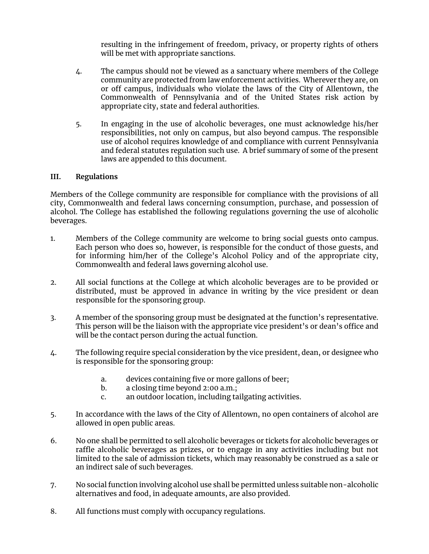resulting in the infringement of freedom, privacy, or property rights of others will be met with appropriate sanctions.

- 4. The campus should not be viewed as a sanctuary where members of the College community are protected from law enforcement activities. Wherever they are, on or off campus, individuals who violate the laws of the City of Allentown, the Commonwealth of Pennsylvania and of the United States risk action by appropriate city, state and federal authorities.
- 5. In engaging in the use of alcoholic beverages, one must acknowledge his/her responsibilities, not only on campus, but also beyond campus. The responsible use of alcohol requires knowledge of and compliance with current Pennsylvania and federal statutes regulation such use. A brief summary of some of the present laws are appended to this document.

# **III. Regulations**

Members of the College community are responsible for compliance with the provisions of all city, Commonwealth and federal laws concerning consumption, purchase, and possession of alcohol. The College has established the following regulations governing the use of alcoholic beverages.

- 1. Members of the College community are welcome to bring social guests onto campus. Each person who does so, however, is responsible for the conduct of those guests, and for informing him/her of the College's Alcohol Policy and of the appropriate city, Commonwealth and federal laws governing alcohol use.
- 2. All social functions at the College at which alcoholic beverages are to be provided or distributed, must be approved in advance in writing by the vice president or dean responsible for the sponsoring group.
- 3. A member of the sponsoring group must be designated at the function's representative. This person will be the liaison with the appropriate vice president's or dean's office and will be the contact person during the actual function.
- 4. The following require special consideration by the vice president, dean, or designee who is responsible for the sponsoring group:
	- a. devices containing five or more gallons of beer;
	- b. a closing time beyond 2:00 a.m.;
	- c. an outdoor location, including tailgating activities.
- 5. In accordance with the laws of the City of Allentown, no open containers of alcohol are allowed in open public areas.
- 6. No one shall be permitted to sell alcoholic beverages or tickets for alcoholic beverages or raffle alcoholic beverages as prizes, or to engage in any activities including but not limited to the sale of admission tickets, which may reasonably be construed as a sale or an indirect sale of such beverages.
- 7. No social function involving alcohol use shall be permitted unless suitable non-alcoholic alternatives and food, in adequate amounts, are also provided.
- 8. All functions must comply with occupancy regulations.